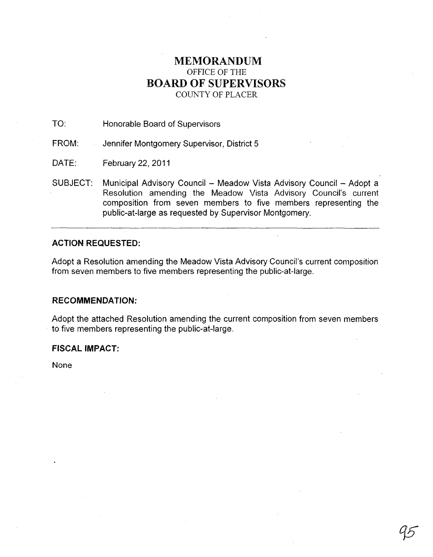# **MEMORANDUM**  OFFICE OF THE **BOARD OF SUPERVISORS**  COUNTY OF PLACER

TO: Honorable Board of Supervisors

FROM: Jennifer Montgomery Supervisor, District 5

DATE: February 22, 2011

SUBJECT: Municipal Advisory Council - Meadow Vista Advisory Council - Adopt a Resolution amending the Meadow Vista Advisory Council's current composition from seven members to five members representing the public-at-Iarge as requested by Supervisor Montgomery.

## **ACTION REQUESTED:**

Adopt a Resolution amending the Meadow Vista Advisory Council's current composition from seven members to five members representing the public-at-Iarge.

#### **RECOMMENDATION:**

Adopt the attached Resolution amending the current composition from seven members . to five members representing the public-at-Iarge.

## **FISCAL IMPACT:**

None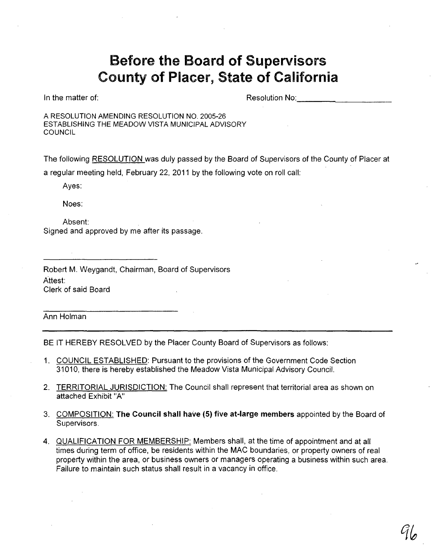# Before the Board of Supervisors County of Placer, State of California

In the matter of:

Resolution No:

A RESOLUTION AMENDING RESOLUTION NO. 2005-26 ESTABLISHING THE MEADOW VISTA MUNICIPAL ADVISORY **COUNCIL** 

The following RESOLUTION was duly passed by the Board of Supervisors of the County of Placer at a regular meeting held, February 22, 2011 by the following vote on roll call:

Ayes:

Noes:

Absent: Signed and approved by me after its passage.

Robert M. Weygandt, Chairman, Board of Supervisors Attest: Clerk of said Board

Ann Holman

BE IT HEREBY RESOLVED by the Placer County Board of Supervisors as follows:

- 1. COUNCIL ESTABLISHED: Pursuant to the provisions of the Government Code Section 31010, there is hereby established the Meadow Vista Municipal Advisory Council.
- 2. TERRITORIAL JURISDICTION: The Council shall represent that territorial area as shown on attached Exhibit "A"
- 3. COMPOSITION: The Council shall have (5) five at-large members appointed by the Board of Supervisors.
- 4. QUALIFICATION FOR MEMBERSHIP: Members shall, at the time of appointment and at all times during term of office, be residents within the MAC boundaries, or property owners of real property within the area, or business owners or managers operating a business within such area. Failure to maintain such status shall result in a vacancy in office.